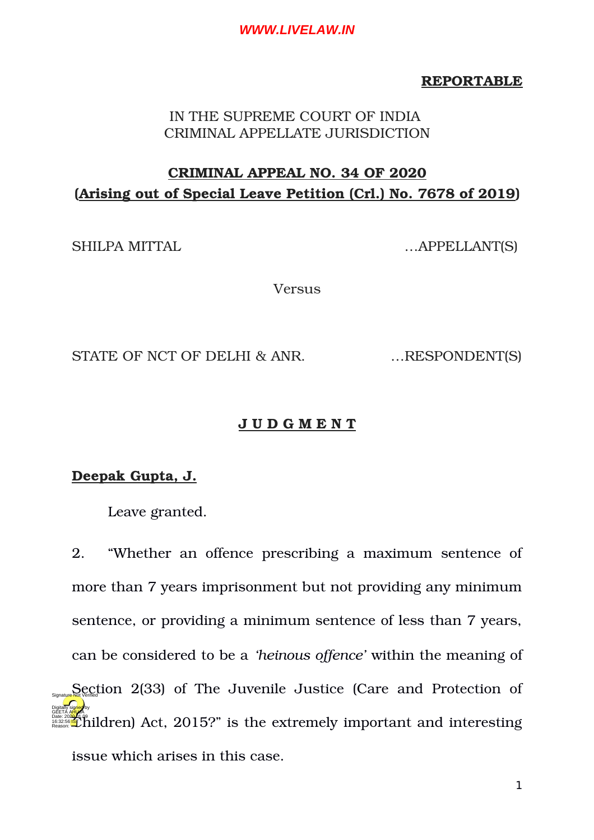### **REPORTABLE**

# IN THE SUPREME COURT OF INDIA CRIMINAL APPELLATE JURISDICTION

# **CRIMINAL APPEAL NO. 34 OF 2020 (Arising out of Special Leave Petition (Crl.) No. 7678 of 2019)**

SHILPA MITTAL …APPELLANT(S)

Versus

STATE OF NCT OF DELHI & ANR. ... RESPONDENT(S)

# **J U D G M E N T**

**Deepak Gupta, J.**

Leave granted.

2. "Whether an offence prescribing a maximum sentence of more than 7 years imprisonment but not providing any minimum sentence, or providing a minimum sentence of less than 7 years, can be considered to be a *'heinous offence'* within the meaning of  $S_{Sgnatized}$  Section 2(33) of The Juvenile Justice (Care and Protection of **Children) Act, 2015?" is the extremely important and interesting** issue which arises in this case. Digitally signed by GEETA A<mark>HU</mark>JA 16:32:56 IST Reason: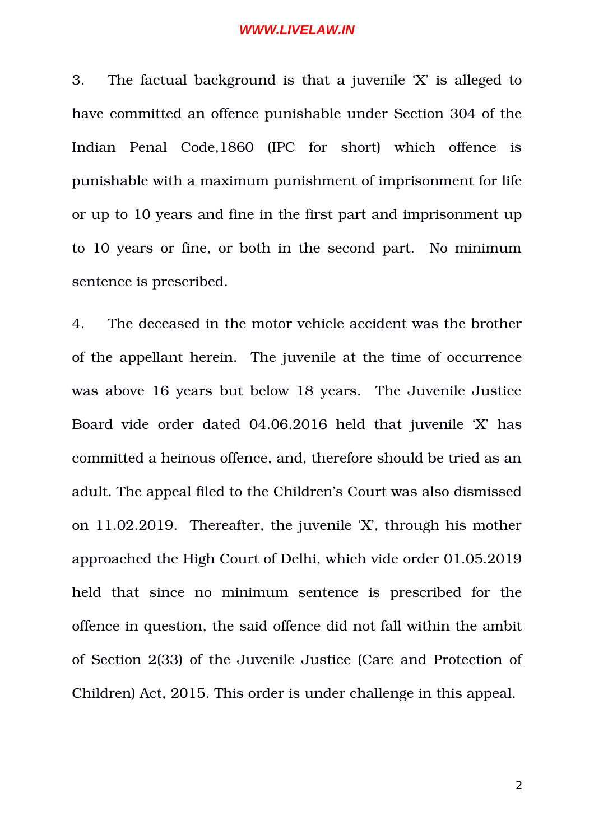3. The factual background is that a juvenile 'X' is alleged to have committed an offence punishable under Section 304 of the Indian Penal Code, 1860 (IPC for short) which offence is punishable with a maximum punishment of imprisonment for life or up to 10 years and fine in the first part and imprisonment up to 10 years or fine, or both in the second part. No minimum sentence is prescribed.

4. The deceased in the motor vehicle accident was the brother of the appellant herein. The juvenile at the time of occurrence was above 16 years but below 18 years. The Juvenile Justice Board vide order dated 04.06.2016 held that juvenile 'X' has committed a heinous offence, and, therefore should be tried as an adult. The appeal filed to the Children's Court was also dismissed on 11.02.2019. Thereafter, the juvenile 'X', through his mother approached the High Court of Delhi, which vide order 01.05.2019 held that since no minimum sentence is prescribed for the offence in question, the said offence did not fall within the ambit of Section 2(33) of the Juvenile Justice (Care and Protection of Children) Act, 2015. This order is under challenge in this appeal.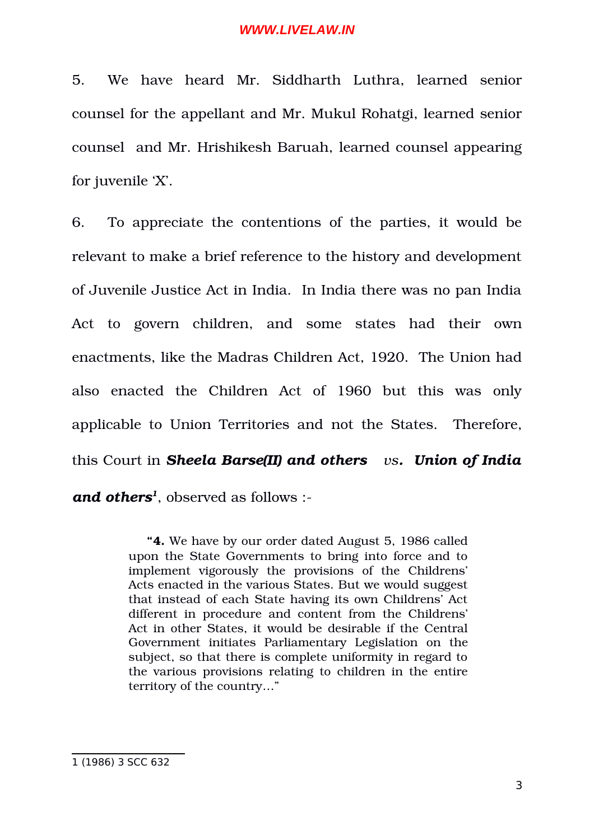5. We have heard Mr. Siddharth Luthra, learned senior counsel for the appellant and Mr. Mukul Rohatgi, learned senior counsel and Mr. Hrishikesh Baruah, learned counsel appearing for juvenile 'X'.

6. To appreciate the contentions of the parties, it would be relevant to make a brief reference to the history and development of Juvenile Justice Act in India. In India there was no pan India Act to govern children, and some states had their own enactments, like the Madras Children Act, 1920. The Union had also enacted the Children Act of 1960 but this was only applicable to Union Territories and not the States. Therefore, this Court in *Sheela Barse(II) and others vs. Union of India and others[1](#page-2-0)* , observed as follows :

> **"4.** We have by our order dated August 5, 1986 called upon the State Governments to bring into force and to implement vigorously the provisions of the Childrens' Acts enacted in the various States. But we would suggest that instead of each State having its own Childrens' Act different in procedure and content from the Childrens' Act in other States, it would be desirable if the Central Government initiates Parliamentary Legislation on the subject, so that there is complete uniformity in regard to the various provisions relating to children in the entire territory of the country…"

<span id="page-2-0"></span><sup>1</sup> (1986) 3 SCC 632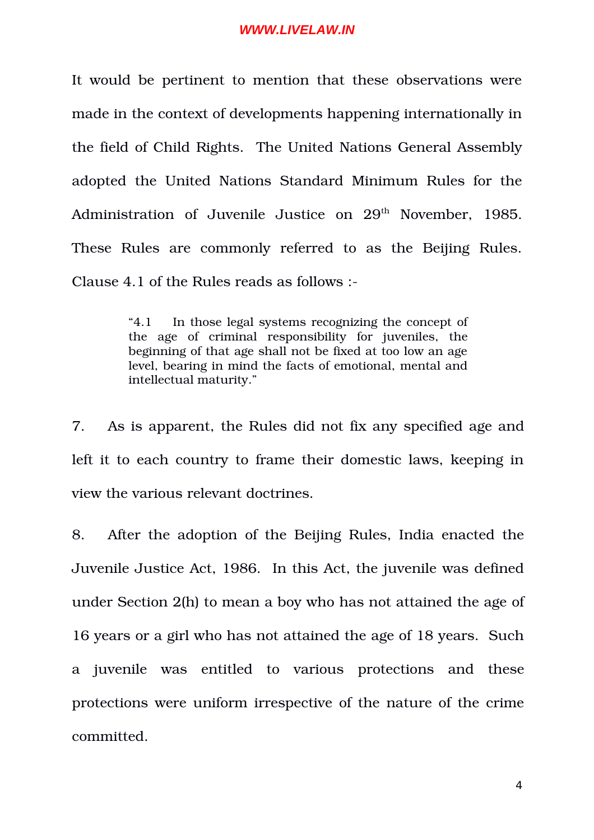It would be pertinent to mention that these observations were made in the context of developments happening internationally in the field of Child Rights. The United Nations General Assembly adopted the United Nations Standard Minimum Rules for the Administration of Juvenile Justice on 29<sup>th</sup> November, 1985. These Rules are commonly referred to as the Beijing Rules. Clause 4.1 of the Rules reads as follows :

> "4.1 In those legal systems recognizing the concept of the age of criminal responsibility for juveniles, the beginning of that age shall not be fixed at too low an age level, bearing in mind the facts of emotional, mental and intellectual maturity."

7. As is apparent, the Rules did not fix any specified age and left it to each country to frame their domestic laws, keeping in view the various relevant doctrines.

8. After the adoption of the Beijing Rules, India enacted the Juvenile Justice Act, 1986. In this Act, the juvenile was defined under Section 2(h) to mean a boy who has not attained the age of 16 years or a girl who has not attained the age of 18 years. Such a juvenile was entitled to various protections and these protections were uniform irrespective of the nature of the crime committed.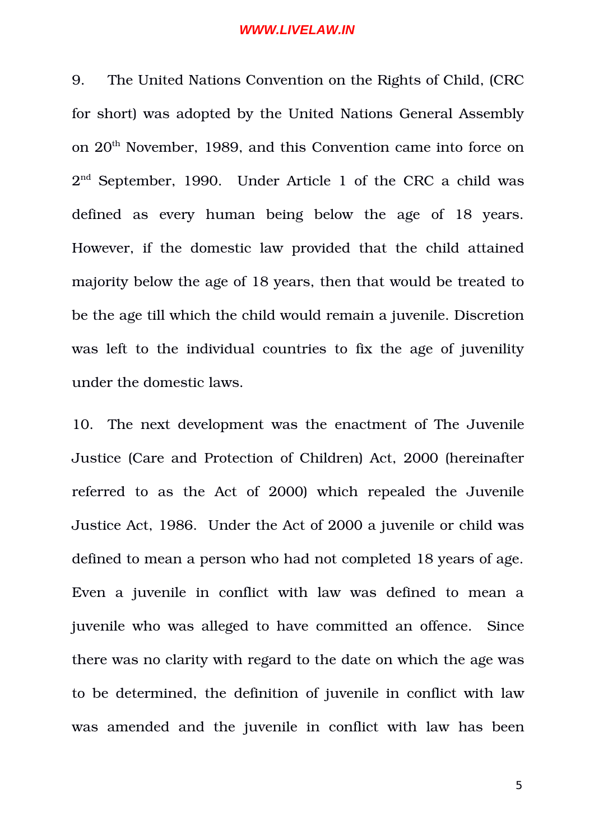9. The United Nations Convention on the Rights of Child, (CRC for short) was adopted by the United Nations General Assembly on 20th November, 1989, and this Convention came into force on  $2<sup>nd</sup>$  September, 1990. Under Article 1 of the CRC a child was defined as every human being below the age of 18 years. However, if the domestic law provided that the child attained majority below the age of 18 years, then that would be treated to be the age till which the child would remain a juvenile. Discretion was left to the individual countries to fix the age of juvenility under the domestic laws.

10. The next development was the enactment of The Juvenile Justice (Care and Protection of Children) Act, 2000 (hereinafter referred to as the Act of 2000) which repealed the Juvenile Justice Act, 1986. Under the Act of 2000 a juvenile or child was defined to mean a person who had not completed 18 years of age. Even a juvenile in conflict with law was defined to mean a juvenile who was alleged to have committed an offence. Since there was no clarity with regard to the date on which the age was to be determined, the definition of juvenile in conflict with law was amended and the juvenile in conflict with law has been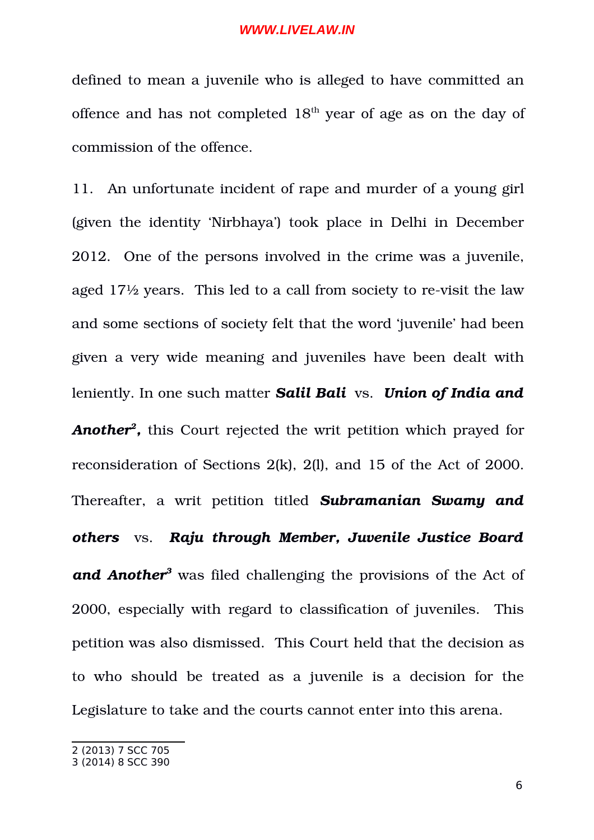defined to mean a juvenile who is alleged to have committed an offence and has not completed  $18<sup>th</sup>$  year of age as on the day of commission of the offence.

11. An unfortunate incident of rape and murder of a young girl (given the identity 'Nirbhaya') took place in Delhi in December 2012. One of the persons involved in the crime was a juvenile, aged  $17\frac{1}{2}$  years. This led to a call from society to re-visit the law and some sections of society felt that the word 'juvenile' had been given a very wide meaning and juveniles have been dealt with leniently. In one such matter *Salil Bali* vs. *Union of India and Another[2](#page-5-0) ,* this Court rejected the writ petition which prayed for reconsideration of Sections 2(k), 2(l), and 15 of the Act of 2000. Thereafter, a writ petition titled **Subramanian Swamy and** *others* vs. *Raju through Member, Juvenile Justice Board and Another[3](#page-5-1)* was filed challenging the provisions of the Act of 2000, especially with regard to classification of juveniles. This petition was also dismissed. This Court held that the decision as to who should be treated as a juvenile is a decision for the Legislature to take and the courts cannot enter into this arena.

<span id="page-5-0"></span><sup>2</sup> (2013) 7 SCC 705

<span id="page-5-1"></span><sup>3</sup> (2014) 8 SCC 390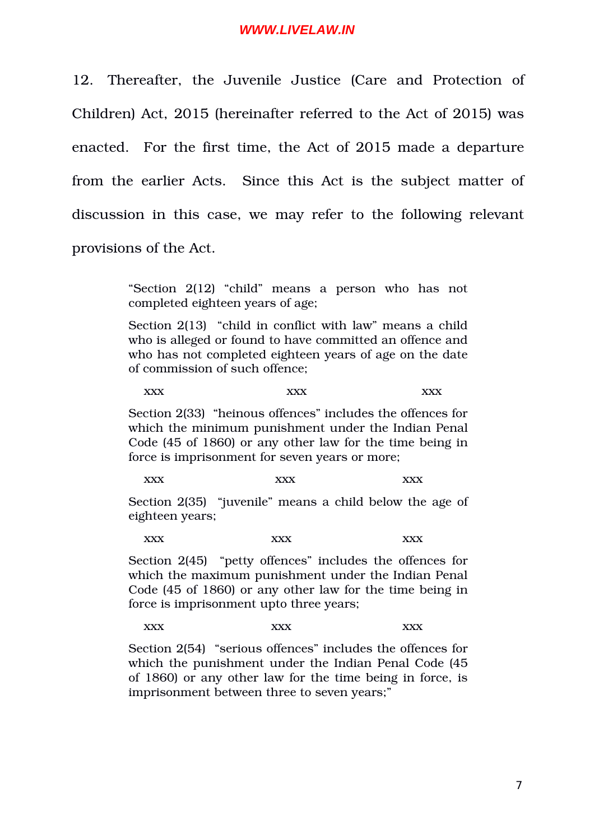12. Thereafter, the Juvenile Justice (Care and Protection of Children) Act, 2015 (hereinafter referred to the Act of 2015) was enacted. For the first time, the Act of 2015 made a departure from the earlier Acts. Since this Act is the subject matter of discussion in this case, we may refer to the following relevant provisions of the Act.

> "Section 2(12) "child" means a person who has not completed eighteen years of age;

> Section 2(13) "child in conflict with law" means a child who is alleged or found to have committed an offence and who has not completed eighteen years of age on the date of commission of such offence;

xxx xxx xxx xxx

Section 2(33) "heinous offences" includes the offences for which the minimum punishment under the Indian Penal Code (45 of 1860) or any other law for the time being in force is imprisonment for seven years or more;

 $\text{XXX}$   $\text{XXX}$   $\text{XXX}$ 

Section 2(35) "juvenile" means a child below the age of eighteen years;

xxx xxx xxx

Section 2(45) "petty offences" includes the offences for which the maximum punishment under the Indian Penal Code (45 of 1860) or any other law for the time being in force is imprisonment upto three years;

xxx xxx xxx xxx

Section 2(54) "serious offences" includes the offences for which the punishment under the Indian Penal Code (45 of 1860) or any other law for the time being in force, is imprisonment between three to seven years;"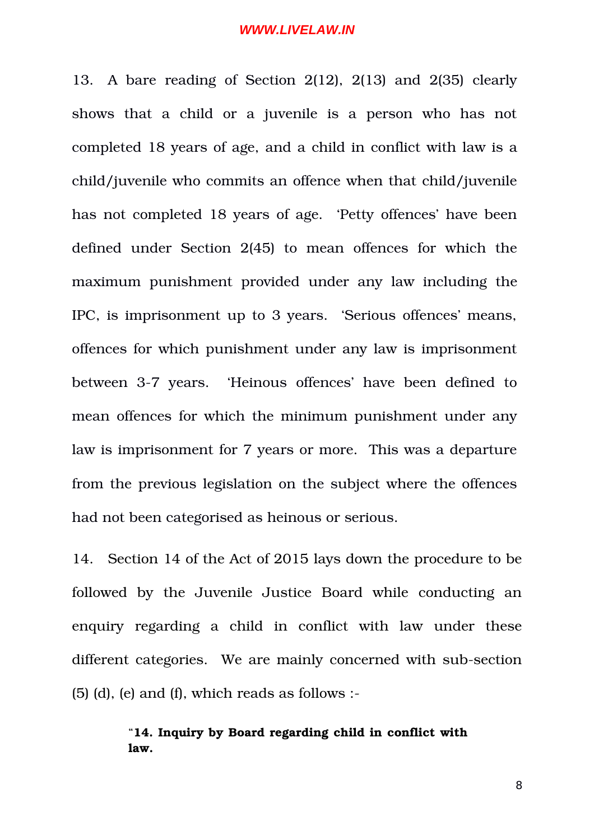13. A bare reading of Section 2(12), 2(13) and 2(35) clearly shows that a child or a juvenile is a person who has not completed 18 years of age, and a child in conflict with law is a child/juvenile who commits an offence when that child/juvenile has not completed 18 years of age. 'Petty offences' have been defined under Section 2(45) to mean offences for which the maximum punishment provided under any law including the IPC, is imprisonment up to 3 years. 'Serious offences' means, offences for which punishment under any law is imprisonment between 3-7 years. 'Heinous offences' have been defined to mean offences for which the minimum punishment under any law is imprisonment for 7 years or more. This was a departure from the previous legislation on the subject where the offences had not been categorised as heinous or serious.

14. Section 14 of the Act of 2015 lays down the procedure to be followed by the Juvenile Justice Board while conducting an enquiry regarding a child in conflict with law under these different categories. We are mainly concerned with sub-section  $(5)$  (d), (e) and (f), which reads as follows :-

# "**14. Inquiry by Board regarding child in conflict with law.**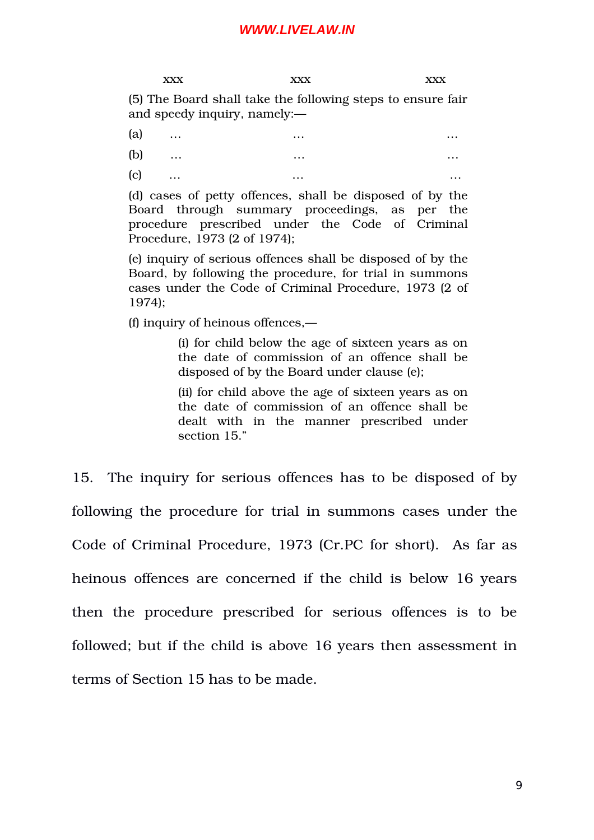xxx xxx xxx xxx (5) The Board shall take the following steps to ensure fair and speedy inquiry, namely:—

- (a)  $\dots$   $\dots$   $\dots$
- (b)  $\dots$   $\dots$   $\dots$
- $(c)$  ... ... ... ... ... ... ... ... ...

(d) cases of petty offences, shall be disposed of by the Board through summary proceedings, as per the procedure prescribed under the Code of Criminal Procedure, 1973 (2 of 1974);

(e) inquiry of serious offences shall be disposed of by the Board, by following the procedure, for trial in summons cases under the Code of Criminal Procedure, 1973 (2 of 1974);

(f) inquiry of heinous offences,—

(i) for child below the age of sixteen years as on the date of commission of an offence shall be disposed of by the Board under clause (e);

(ii) for child above the age of sixteen years as on the date of commission of an offence shall be dealt with in the manner prescribed under section 15."

15. The inquiry for serious offences has to be disposed of by following the procedure for trial in summons cases under the Code of Criminal Procedure, 1973 (Cr.PC for short). As far as heinous offences are concerned if the child is below 16 years then the procedure prescribed for serious offences is to be followed; but if the child is above 16 years then assessment in terms of Section 15 has to be made.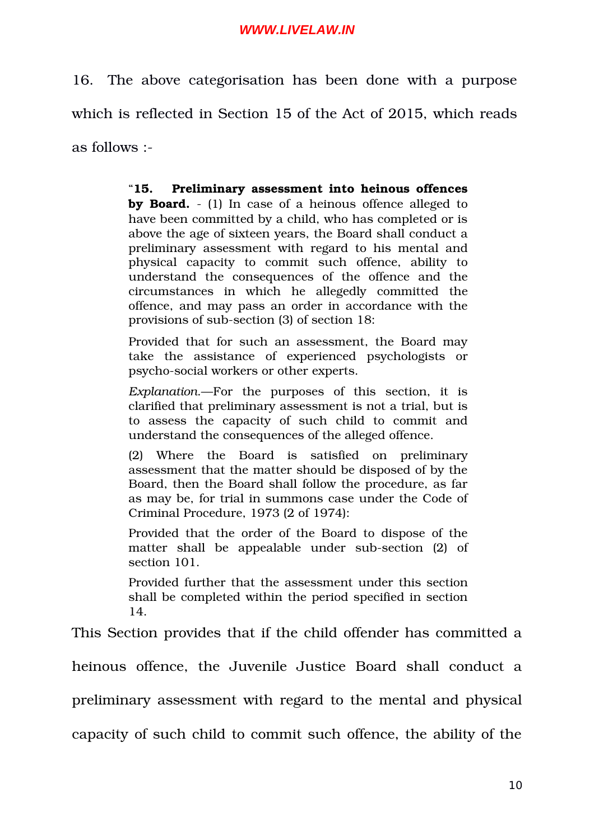16. The above categorisation has been done with a purpose which is reflected in Section 15 of the Act of 2015, which reads as follows :

> "**15. Preliminary assessment into heinous offences by Board.**  (1) In case of a heinous offence alleged to have been committed by a child, who has completed or is above the age of sixteen years, the Board shall conduct a preliminary assessment with regard to his mental and physical capacity to commit such offence, ability to understand the consequences of the offence and the circumstances in which he allegedly committed the offence, and may pass an order in accordance with the provisions of sub-section (3) of section 18:

> Provided that for such an assessment, the Board may take the assistance of experienced psychologists or psycho-social workers or other experts.

> *Explanation*.—For the purposes of this section, it is clarified that preliminary assessment is not a trial, but is to assess the capacity of such child to commit and understand the consequences of the alleged offence.

> (2) Where the Board is satisfied on preliminary assessment that the matter should be disposed of by the Board, then the Board shall follow the procedure, as far as may be, for trial in summons case under the Code of Criminal Procedure, 1973 (2 of 1974):

> Provided that the order of the Board to dispose of the matter shall be appealable under sub-section (2) of section 101.

> Provided further that the assessment under this section shall be completed within the period specified in section 14.

This Section provides that if the child offender has committed a

heinous offence, the Juvenile Justice Board shall conduct a

preliminary assessment with regard to the mental and physical

capacity of such child to commit such offence, the ability of the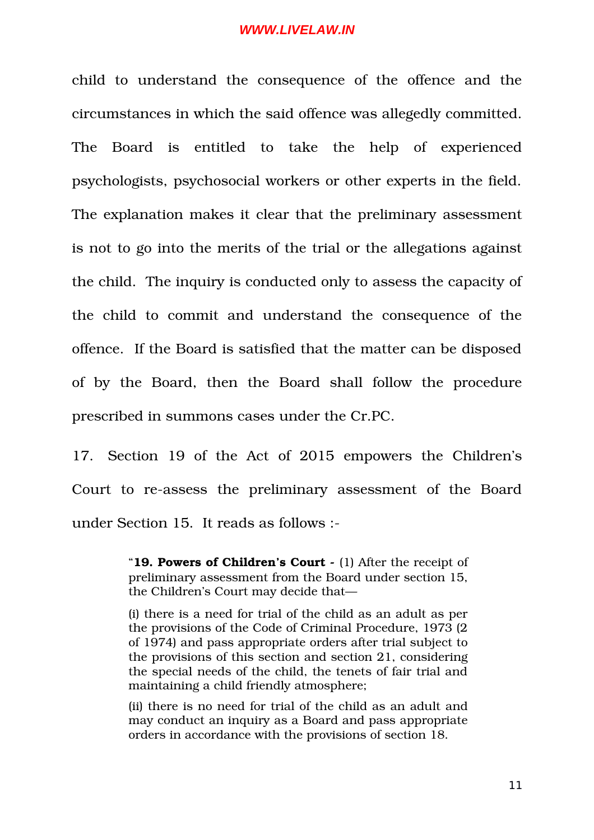child to understand the consequence of the offence and the circumstances in which the said offence was allegedly committed. The Board is entitled to take the help of experienced psychologists, psychosocial workers or other experts in the field. The explanation makes it clear that the preliminary assessment is not to go into the merits of the trial or the allegations against the child. The inquiry is conducted only to assess the capacity of the child to commit and understand the consequence of the offence. If the Board is satisfied that the matter can be disposed of by the Board, then the Board shall follow the procedure prescribed in summons cases under the Cr.PC.

17. Section 19 of the Act of 2015 empowers the Children's Court to re-assess the preliminary assessment of the Board under Section 15. It reads as follows :

> "**19. Powers of Children's Court -** (1) After the receipt of preliminary assessment from the Board under section 15, the Children's Court may decide that—

> (i) there is a need for trial of the child as an adult as per the provisions of the Code of Criminal Procedure, 1973 (2 of 1974) and pass appropriate orders after trial subject to the provisions of this section and section 21, considering the special needs of the child, the tenets of fair trial and maintaining a child friendly atmosphere;

> (ii) there is no need for trial of the child as an adult and may conduct an inquiry as a Board and pass appropriate orders in accordance with the provisions of section 18.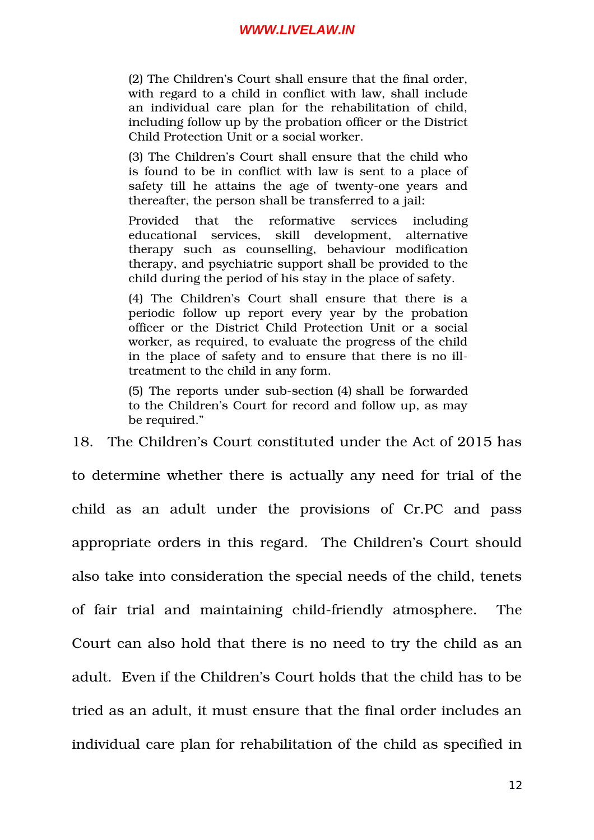(2) The Children's Court shall ensure that the final order, with regard to a child in conflict with law, shall include an individual care plan for the rehabilitation of child, including follow up by the probation officer or the District Child Protection Unit or a social worker.

(3) The Children's Court shall ensure that the child who is found to be in conflict with law is sent to a place of safety till he attains the age of twenty-one years and thereafter, the person shall be transferred to a jail:

Provided that the reformative services including educational services, skill development, alternative therapy such as counselling, behaviour modification therapy, and psychiatric support shall be provided to the child during the period of his stay in the place of safety.

(4) The Children's Court shall ensure that there is a periodic follow up report every year by the probation officer or the District Child Protection Unit or a social worker, as required, to evaluate the progress of the child in the place of safety and to ensure that there is no illtreatment to the child in any form.

(5) The reports under sub-section (4) shall be forwarded to the Children's Court for record and follow up, as may be required."

18. The Children's Court constituted under the Act of 2015 has to determine whether there is actually any need for trial of the child as an adult under the provisions of Cr.PC and pass appropriate orders in this regard. The Children's Court should also take into consideration the special needs of the child, tenets of fair trial and maintaining child-friendly atmosphere. The Court can also hold that there is no need to try the child as an adult. Even if the Children's Court holds that the child has to be tried as an adult, it must ensure that the final order includes an individual care plan for rehabilitation of the child as specified in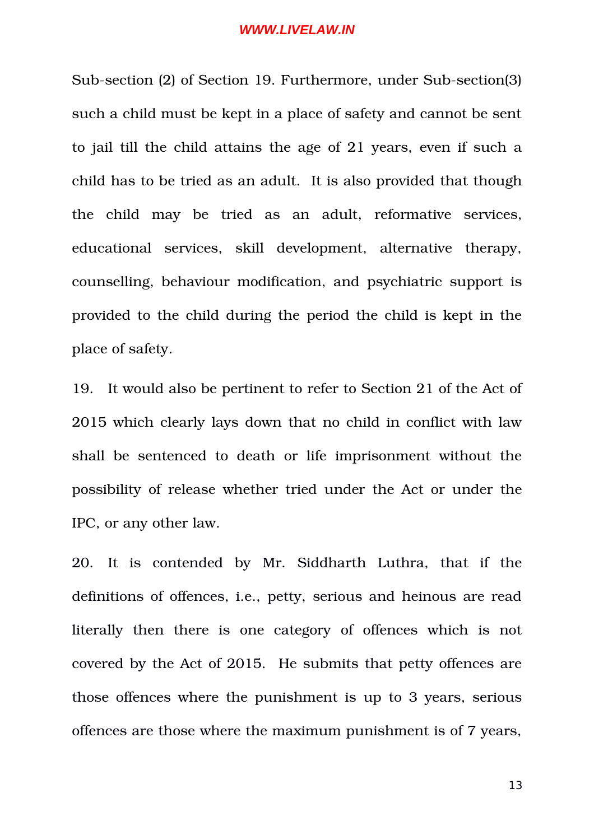Sub-section (2) of Section 19. Furthermore, under Sub-section(3) such a child must be kept in a place of safety and cannot be sent to jail till the child attains the age of 21 years, even if such a child has to be tried as an adult. It is also provided that though the child may be tried as an adult, reformative services, educational services, skill development, alternative therapy, counselling, behaviour modification, and psychiatric support is provided to the child during the period the child is kept in the place of safety.

19. It would also be pertinent to refer to Section 21 of the Act of 2015 which clearly lays down that no child in conflict with law shall be sentenced to death or life imprisonment without the possibility of release whether tried under the Act or under the IPC, or any other law.

20. It is contended by Mr. Siddharth Luthra, that if the definitions of offences, i.e., petty, serious and heinous are read literally then there is one category of offences which is not covered by the Act of 2015. He submits that petty offences are those offences where the punishment is up to 3 years, serious offences are those where the maximum punishment is of 7 years,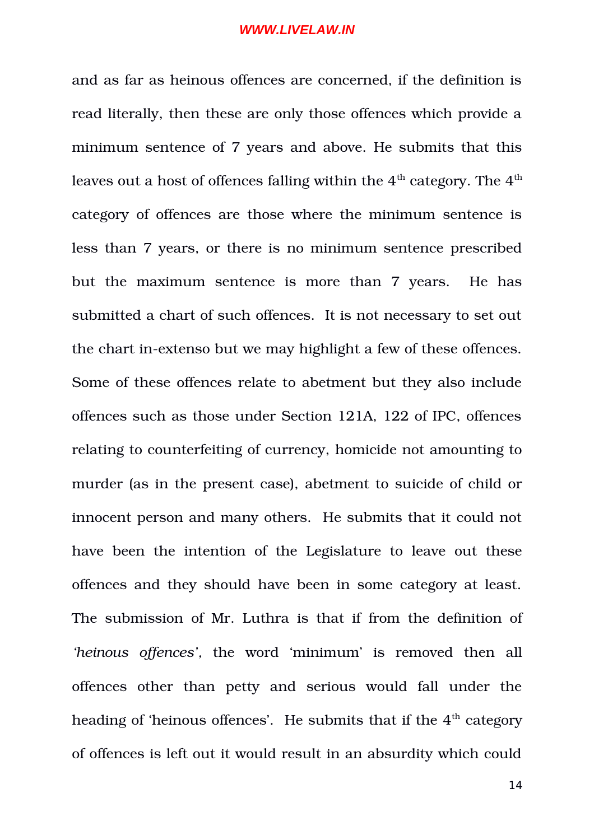and as far as heinous offences are concerned, if the definition is read literally, then these are only those offences which provide a minimum sentence of 7 years and above. He submits that this leaves out a host of offences falling within the  $4<sup>th</sup>$  category. The  $4<sup>th</sup>$ category of offences are those where the minimum sentence is less than 7 years, or there is no minimum sentence prescribed but the maximum sentence is more than 7 years. He has submitted a chart of such offences. It is not necessary to set out the chart in-extenso but we may highlight a few of these offences. Some of these offences relate to abetment but they also include offences such as those under Section 121A, 122 of IPC, offences relating to counterfeiting of currency, homicide not amounting to murder (as in the present case), abetment to suicide of child or innocent person and many others. He submits that it could not have been the intention of the Legislature to leave out these offences and they should have been in some category at least. The submission of Mr. Luthra is that if from the definition of 'heinous offences', the word 'minimum' is removed then all offences other than petty and serious would fall under the heading of 'heinous offences'. He submits that if the  $4<sup>th</sup>$  category of offences is left out it would result in an absurdity which could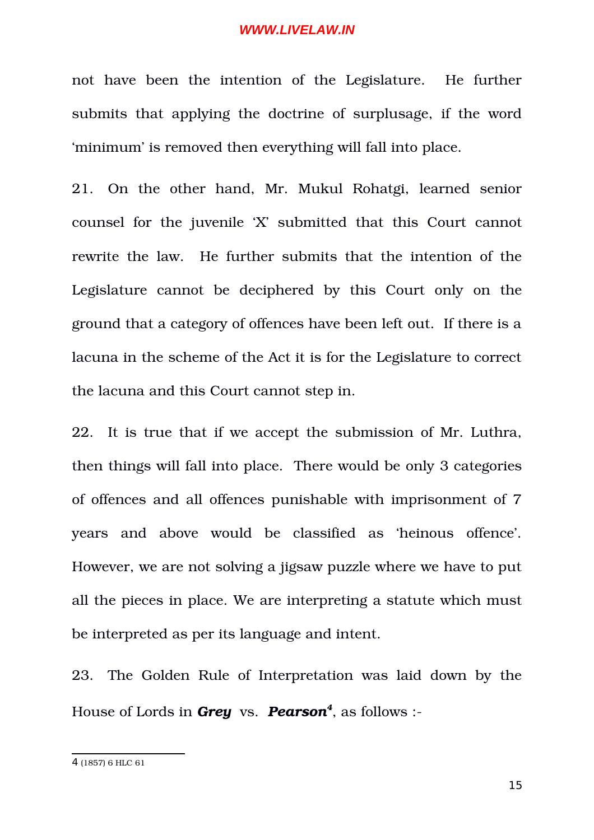not have been the intention of the Legislature. He further submits that applying the doctrine of surplusage, if the word 'minimum' is removed then everything will fall into place.

21. On the other hand, Mr. Mukul Rohatgi, learned senior counsel for the juvenile 'X' submitted that this Court cannot rewrite the law. He further submits that the intention of the Legislature cannot be deciphered by this Court only on the ground that a category of offences have been left out. If there is a lacuna in the scheme of the Act it is for the Legislature to correct the lacuna and this Court cannot step in.

22. It is true that if we accept the submission of Mr. Luthra, then things will fall into place. There would be only 3 categories of offences and all offences punishable with imprisonment of 7 years and above would be classified as 'heinous offence'. However, we are not solving a jigsaw puzzle where we have to put all the pieces in place. We are interpreting a statute which must be interpreted as per its language and intent.

23. The Golden Rule of Interpretation was laid down by the House of Lords in *Grey*  vs. *Pearson[4](#page-14-0)* , as follows :

<span id="page-14-0"></span><sup>4</sup> (1857) 6 HLC 61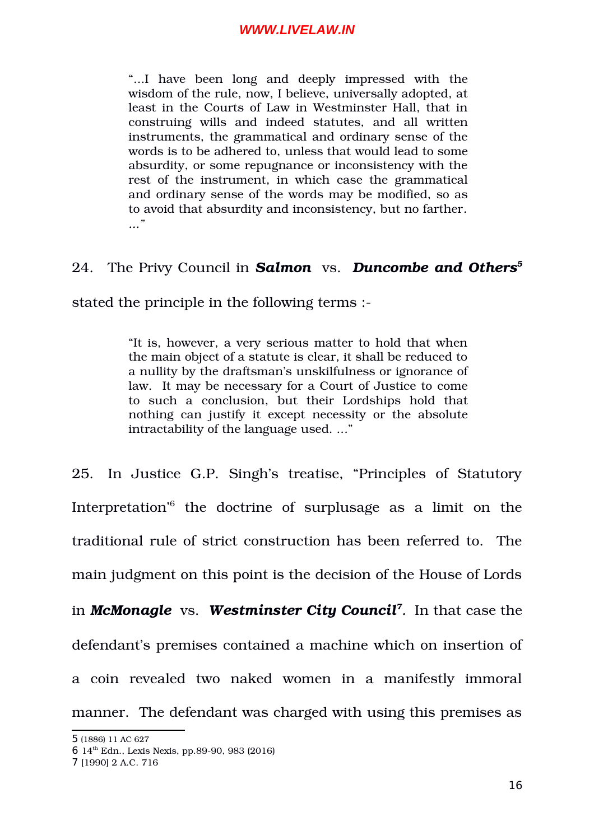"....I have been long and deeply impressed with the wisdom of the rule, now, I believe, universally adopted, at least in the Courts of Law in Westminster Hall, that in construing wills and indeed statutes, and all written instruments, the grammatical and ordinary sense of the words is to be adhered to, unless that would lead to some absurdity, or some repugnance or inconsistency with the rest of the instrument, in which case the grammatical and ordinary sense of the words may be modified, so as to avoid that absurdity and inconsistency, but no farther*. ..."*

## 24. The Privy Council in *Salmon*  vs. *Duncombe and Others[5](#page-15-0)*

stated the principle in the following terms :

"It is, however, a very serious matter to hold that when the main object of a statute is clear, it shall be reduced to a nullity by the draftsman's unskilfulness or ignorance of law. It may be necessary for a Court of Justice to come to such a conclusion, but their Lordships hold that nothing can justify it except necessity or the absolute intractability of the language used. ..."

25. In Justice G.P. Singh's treatise, "Principles of Statutory Interpretation'<sup>[6](#page-15-1)</sup> the doctrine of surplusage as a limit on the traditional rule of strict construction has been referred to. The main judgment on this point is the decision of the House of Lords in *McMonagle* vs. *Westminster City Council[7](#page-15-2) .* In that case the defendant's premises contained a machine which on insertion of a coin revealed two naked women in a manifestly immoral manner. The defendant was charged with using this premises as

<span id="page-15-0"></span><sup>5</sup> (1886) 11 AC 627

<span id="page-15-1"></span> $6$  14<sup>th</sup> Edn., Lexis Nexis, pp.89-90, 983 (2016)

<span id="page-15-2"></span><sup>7</sup> [1990] 2 A.C. 716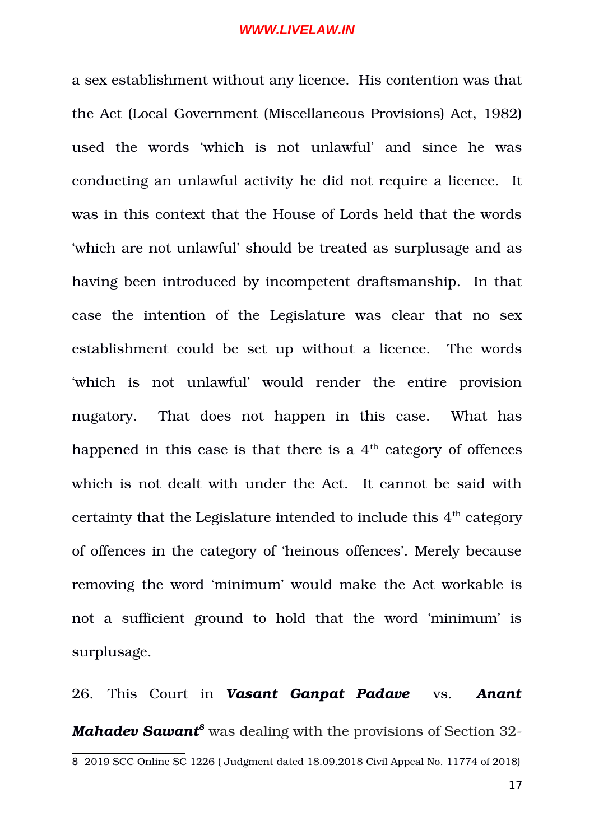a sex establishment without any licence. His contention was that the Act (Local Government (Miscellaneous Provisions) Act, 1982) used the words 'which is not unlawful' and since he was conducting an unlawful activity he did not require a licence. It was in this context that the House of Lords held that the words 'which are not unlawful' should be treated as surplusage and as having been introduced by incompetent draftsmanship. In that case the intention of the Legislature was clear that no sex establishment could be set up without a licence. The words 'which is not unlawful' would render the entire provision nugatory. That does not happen in this case. What has happened in this case is that there is a  $4<sup>th</sup>$  category of offences which is not dealt with under the Act. It cannot be said with certainty that the Legislature intended to include this  $4<sup>th</sup>$  category of offences in the category of 'heinous offences'. Merely because removing the word 'minimum' would make the Act workable is not a sufficient ground to hold that the word 'minimum' is surplusage.

<span id="page-16-0"></span>26. This Court in *Vasant Ganpat Padave* vs. *Anant* Mahadev Sawant<sup>[8](#page-16-0)</sup> was dealing with the provisions of Section 32-8 2019 SCC Online SC 1226 ( Judgment dated 18.09.2018 Civil Appeal No. 11774 of 2018)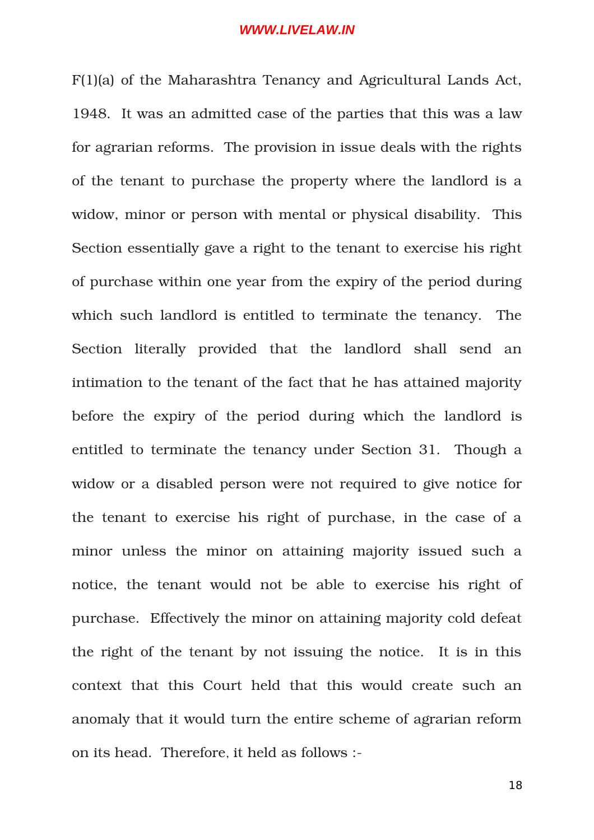F(1)(a) of the Maharashtra Tenancy and Agricultural Lands Act, 1948. It was an admitted case of the parties that this was a law for agrarian reforms. The provision in issue deals with the rights of the tenant to purchase the property where the landlord is a widow, minor or person with mental or physical disability. This Section essentially gave a right to the tenant to exercise his right of purchase within one year from the expiry of the period during which such landlord is entitled to terminate the tenancy. The Section literally provided that the landlord shall send an intimation to the tenant of the fact that he has attained majority before the expiry of the period during which the landlord is entitled to terminate the tenancy under Section 31. Though a widow or a disabled person were not required to give notice for the tenant to exercise his right of purchase, in the case of a minor unless the minor on attaining majority issued such a notice, the tenant would not be able to exercise his right of purchase. Effectively the minor on attaining majority cold defeat the right of the tenant by not issuing the notice. It is in this context that this Court held that this would create such an anomaly that it would turn the entire scheme of agrarian reform on its head. Therefore, it held as follows :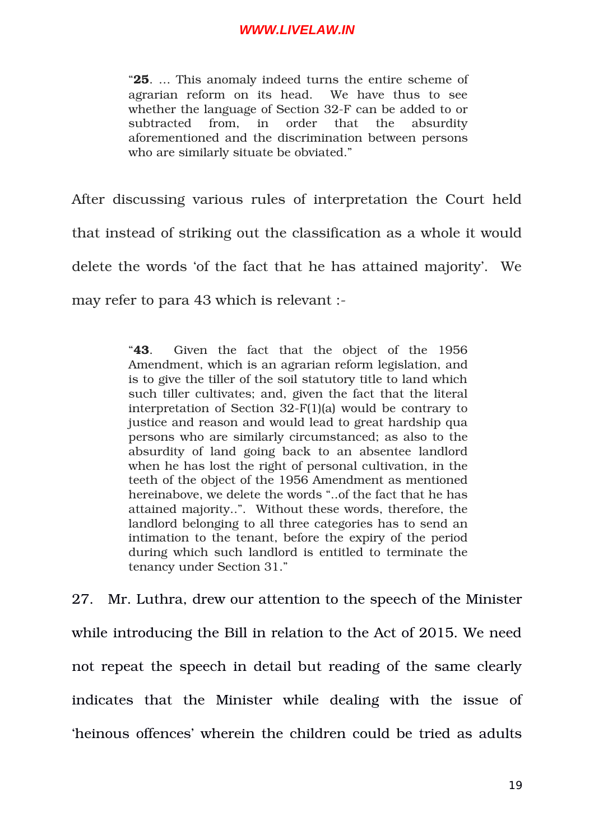"**25**. … This anomaly indeed turns the entire scheme of agrarian reform on its head. We have thus to see whether the language of Section 32-F can be added to or subtracted from, in order that the absurdity aforementioned and the discrimination between persons who are similarly situate be obviated."

After discussing various rules of interpretation the Court held that instead of striking out the classification as a whole it would delete the words 'of the fact that he has attained majority'. We may refer to para 43 which is relevant :

> "43. Given the fact that the object of the 1956 Amendment, which is an agrarian reform legislation, and is to give the tiller of the soil statutory title to land which such tiller cultivates; and, given the fact that the literal interpretation of Section  $32-F(1)(a)$  would be contrary to justice and reason and would lead to great hardship qua persons who are similarly circumstanced; as also to the absurdity of land going back to an absentee landlord when he has lost the right of personal cultivation, in the teeth of the object of the 1956 Amendment as mentioned hereinabove, we delete the words "..of the fact that he has attained majority..". Without these words, therefore, the landlord belonging to all three categories has to send an intimation to the tenant, before the expiry of the period during which such landlord is entitled to terminate the tenancy under Section 31."

27. Mr. Luthra, drew our attention to the speech of the Minister while introducing the Bill in relation to the Act of 2015. We need not repeat the speech in detail but reading of the same clearly indicates that the Minister while dealing with the issue of 'heinous offences' wherein the children could be tried as adults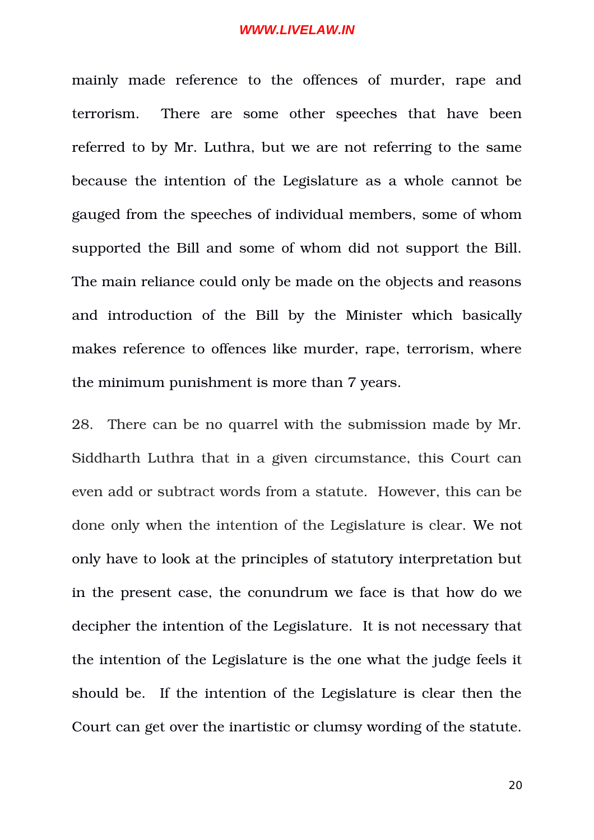mainly made reference to the offences of murder, rape and terrorism. There are some other speeches that have been referred to by Mr. Luthra, but we are not referring to the same because the intention of the Legislature as a whole cannot be gauged from the speeches of individual members, some of whom supported the Bill and some of whom did not support the Bill. The main reliance could only be made on the objects and reasons and introduction of the Bill by the Minister which basically makes reference to offences like murder, rape, terrorism, where the minimum punishment is more than 7 years.

28. There can be no quarrel with the submission made by Mr. Siddharth Luthra that in a given circumstance, this Court can even add or subtract words from a statute. However, this can be done only when the intention of the Legislature is clear. We not only have to look at the principles of statutory interpretation but in the present case, the conundrum we face is that how do we decipher the intention of the Legislature. It is not necessary that the intention of the Legislature is the one what the judge feels it should be. If the intention of the Legislature is clear then the Court can get over the inartistic or clumsy wording of the statute.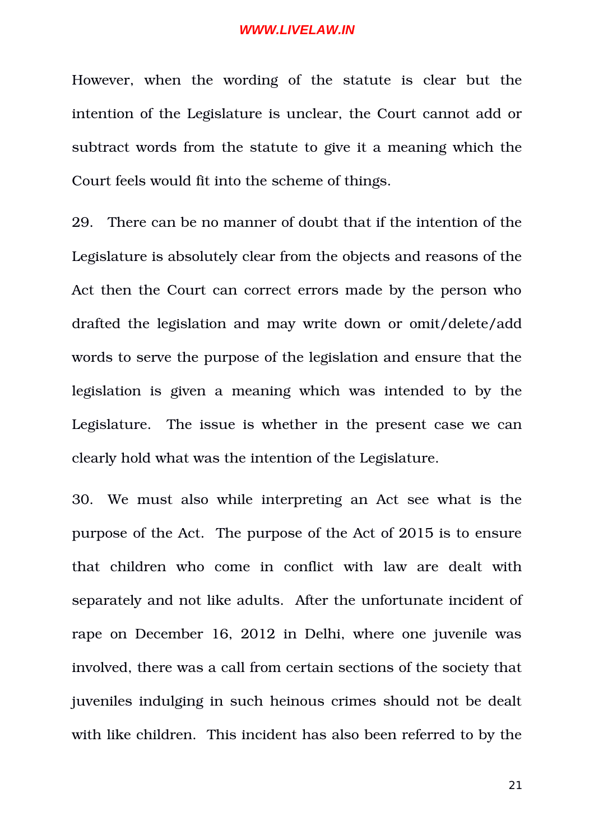However, when the wording of the statute is clear but the intention of the Legislature is unclear, the Court cannot add or subtract words from the statute to give it a meaning which the Court feels would fit into the scheme of things.

29. There can be no manner of doubt that if the intention of the Legislature is absolutely clear from the objects and reasons of the Act then the Court can correct errors made by the person who drafted the legislation and may write down or omit/delete/add words to serve the purpose of the legislation and ensure that the legislation is given a meaning which was intended to by the Legislature. The issue is whether in the present case we can clearly hold what was the intention of the Legislature.

30. We must also while interpreting an Act see what is the purpose of the Act. The purpose of the Act of 2015 is to ensure that children who come in conflict with law are dealt with separately and not like adults. After the unfortunate incident of rape on December 16, 2012 in Delhi, where one juvenile was involved, there was a call from certain sections of the society that juveniles indulging in such heinous crimes should not be dealt with like children. This incident has also been referred to by the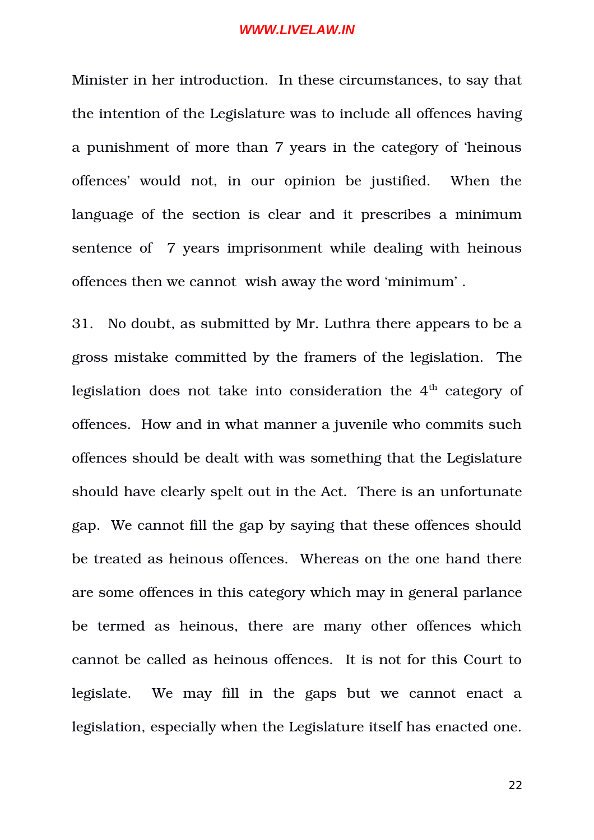Minister in her introduction. In these circumstances, to say that the intention of the Legislature was to include all offences having a punishment of more than 7 years in the category of 'heinous offences' would not, in our opinion be justified. When the language of the section is clear and it prescribes a minimum sentence of 7 years imprisonment while dealing with heinous offences then we cannot wish away the word 'minimum' .

31. No doubt, as submitted by Mr. Luthra there appears to be a gross mistake committed by the framers of the legislation. The legislation does not take into consideration the 4<sup>th</sup> category of offences. How and in what manner a juvenile who commits such offences should be dealt with was something that the Legislature should have clearly spelt out in the Act. There is an unfortunate gap. We cannot fill the gap by saying that these offences should be treated as heinous offences. Whereas on the one hand there are some offences in this category which may in general parlance be termed as heinous, there are many other offences which cannot be called as heinous offences. It is not for this Court to legislate. We may fill in the gaps but we cannot enact a legislation, especially when the Legislature itself has enacted one.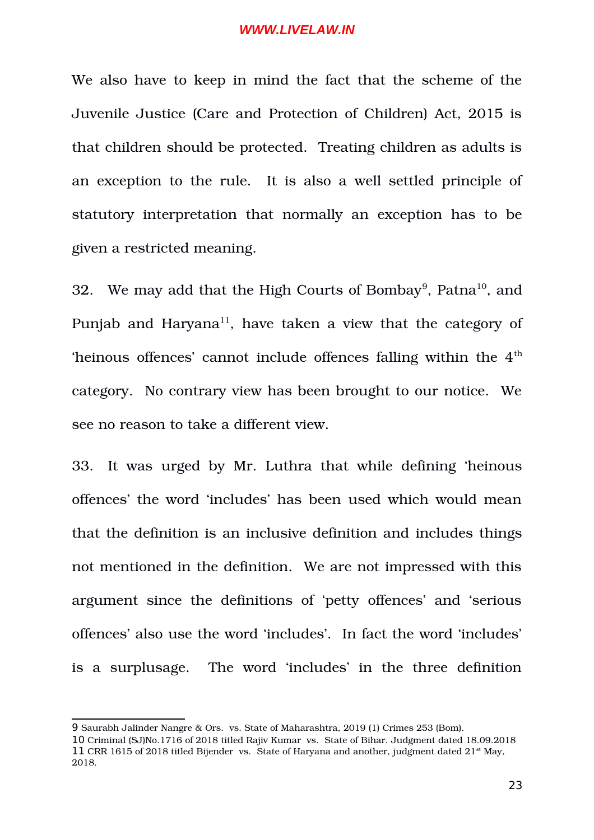We also have to keep in mind the fact that the scheme of the Juvenile Justice (Care and Protection of Children) Act, 2015 is that children should be protected. Treating children as adults is an exception to the rule. It is also a well settled principle of statutory interpretation that normally an exception has to be given a restricted meaning.

32. We may add that the High Courts of Bombay $^9$  $^9$ , Patna $^{10}$  $^{10}$  $^{10}$ , and Punjab and Haryana<sup>[11](#page-22-2)</sup>, have taken a view that the category of 'heinous offences' cannot include offences falling within the  $4<sup>th</sup>$ category. No contrary view has been brought to our notice. We see no reason to take a different view.

33. It was urged by Mr. Luthra that while defining 'heinous offences' the word 'includes' has been used which would mean that the definition is an inclusive definition and includes things not mentioned in the definition. We are not impressed with this argument since the definitions of 'petty offences' and 'serious offences' also use the word 'includes'. In fact the word 'includes' is a surplusage. The word 'includes' in the three definition

<span id="page-22-0"></span><sup>9</sup> Saurabh Jalinder Nangre & Ors. vs. State of Maharashtra, 2019 (1) Crimes 253 (Bom).

<span id="page-22-2"></span><span id="page-22-1"></span><sup>10</sup> Criminal (SJ)No.1716 of 2018 titled Rajiv Kumar vs. State of Bihar. Judgment dated 18.09.2018 11 CRR 1615 of 2018 titled Bijender vs. State of Haryana and another, judgment dated  $21<sup>st</sup>$  May, 2018.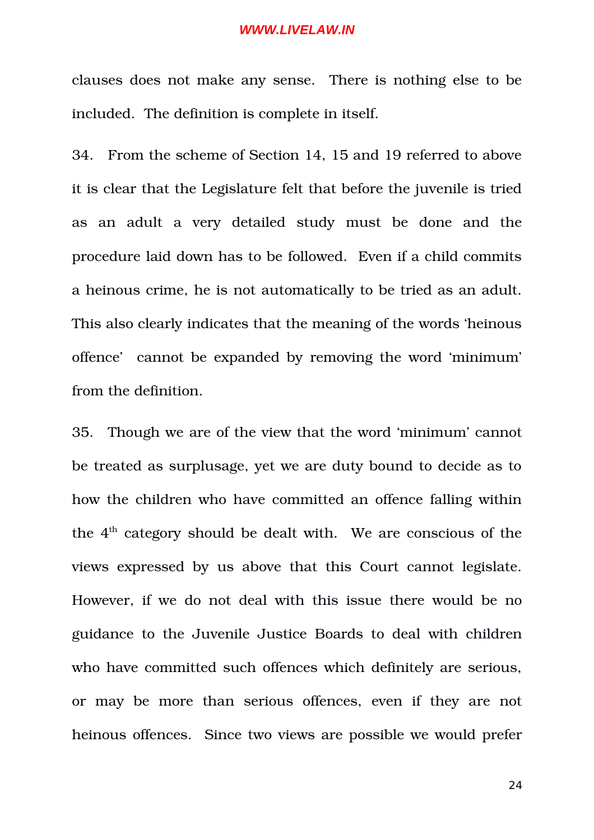clauses does not make any sense. There is nothing else to be included. The definition is complete in itself.

34. From the scheme of Section 14, 15 and 19 referred to above it is clear that the Legislature felt that before the juvenile is tried as an adult a very detailed study must be done and the procedure laid down has to be followed. Even if a child commits a heinous crime, he is not automatically to be tried as an adult. This also clearly indicates that the meaning of the words 'heinous offence' cannot be expanded by removing the word 'minimum' from the definition.

35. Though we are of the view that the word 'minimum' cannot be treated as surplusage, yet we are duty bound to decide as to how the children who have committed an offence falling within the  $4<sup>th</sup>$  category should be dealt with. We are conscious of the views expressed by us above that this Court cannot legislate. However, if we do not deal with this issue there would be no guidance to the Juvenile Justice Boards to deal with children who have committed such offences which definitely are serious, or may be more than serious offences, even if they are not heinous offences. Since two views are possible we would prefer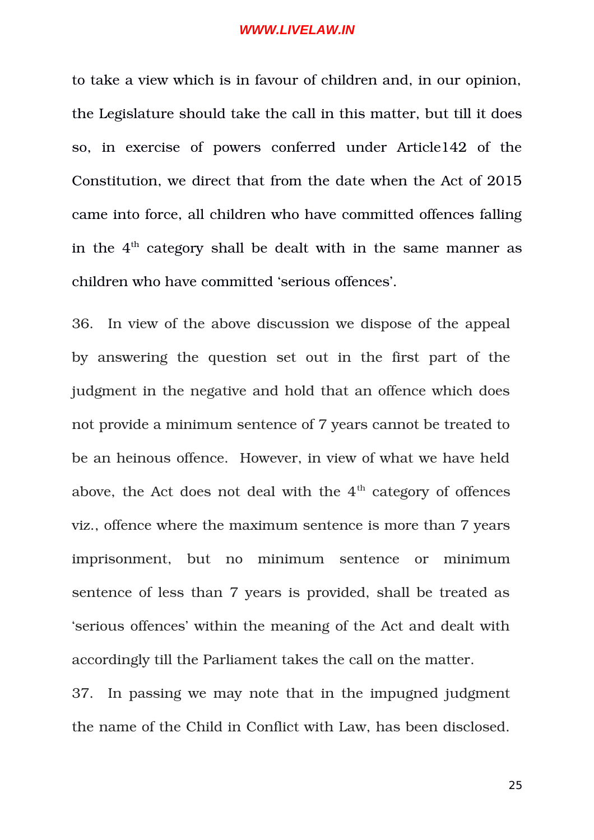to take a view which is in favour of children and, in our opinion, the Legislature should take the call in this matter, but till it does so, in exercise of powers conferred under Article142 of the Constitution, we direct that from the date when the Act of 2015 came into force, all children who have committed offences falling in the 4<sup>th</sup> category shall be dealt with in the same manner as children who have committed 'serious offences'.

36. In view of the above discussion we dispose of the appeal by answering the question set out in the first part of the judgment in the negative and hold that an offence which does not provide a minimum sentence of 7 years cannot be treated to be an heinous offence. However, in view of what we have held above, the Act does not deal with the  $4<sup>th</sup>$  category of offences viz., offence where the maximum sentence is more than 7 years imprisonment, but no minimum sentence or minimum sentence of less than 7 years is provided, shall be treated as 'serious offences' within the meaning of the Act and dealt with accordingly till the Parliament takes the call on the matter.

37. In passing we may note that in the impugned judgment the name of the Child in Conflict with Law, has been disclosed.